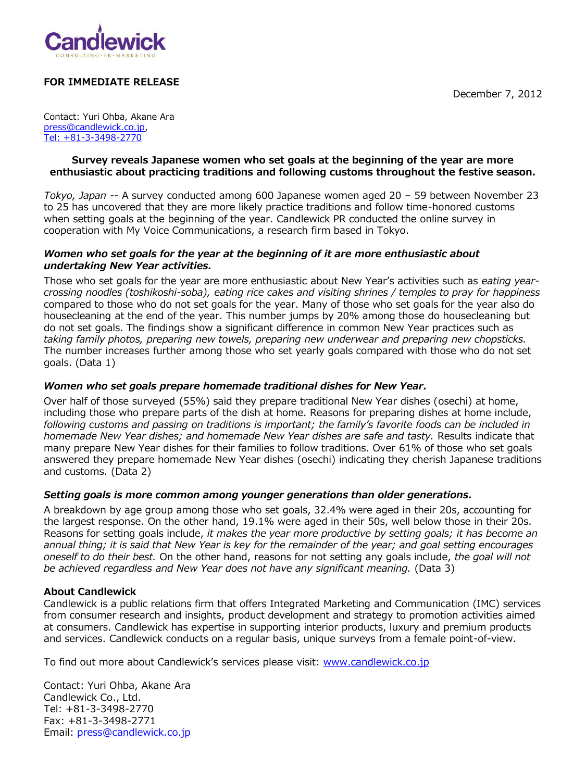December 7, 2012



# **FOR IMMEDIATE RELEASE**

Contact: Yuri Ohba, Akane Ara [press@candlewick.co.jp](mailto:press@candlewick.co.jp), [Tel: +81-3-3498-2770](Tel:+81-3-3498-2770)

## **Survey reveals Japanese women who set goals at the beginning of the year are more enthusiastic about practicing traditions and following customs throughout the festive season.**

*Tokyo, Japan --* A survey conducted among 600 Japanese women aged 20 – 59 between November 23 to 25 has uncovered that they are more likely practice traditions and follow time-honored customs when setting goals at the beginning of the year. Candlewick PR conducted the online survey in cooperation with My Voice Communications, a research firm based in Tokyo.

## *Women who set goals for the year at the beginning of it are more enthusiastic about undertaking New Year activities.*

Those who set goals for the year are more enthusiastic about New Year's activities such as *eating yearcrossing noodles (toshikoshi-soba), eating rice cakes and visiting shrines / temples to pray for happiness* compared to those who do not set goals for the year. Many of those who set goals for the year also do housecleaning at the end of the year. This number jumps by 20% among those do housecleaning but do not set goals. The findings show a significant difference in common New Year practices such as *taking family photos, preparing new towels, preparing new underwear and preparing new chopsticks.* The number increases further among those who set yearly goals compared with those who do not set goals. (Data 1)

## *Women who set goals prepare homemade traditional dishes for New Year.*

Over half of those surveyed (55%) said they prepare traditional New Year dishes (osechi) at home, including those who prepare parts of the dish at home. Reasons for preparing dishes at home include, *following customs and passing on traditions is important; the family's favorite foods can be included in homemade New Year dishes; and homemade New Year dishes are safe and tasty.* Results indicate that many prepare New Year dishes for their families to follow traditions. Over 61% of those who set goals answered they prepare homemade New Year dishes (osechi) indicating they cherish Japanese traditions and customs. (Data 2)

# *Setting goals is more common among younger generations than older generations.*

A breakdown by age group among those who set goals, 32.4% were aged in their 20s, accounting for the largest response. On the other hand, 19.1% were aged in their 50s, well below those in their 20s. Reasons for setting goals include, *it makes the year more productive by setting goals; it has become an annual thing; it is said that New Year is key for the remainder of the year; and goal setting encourages oneself to do their best.* On the other hand, reasons for not setting any goals include, *the goal will not be achieved regardless and New Year does not have any significant meaning.* (Data 3)

## **About Candlewick**

Candlewick is a public relations firm that offers Integrated Marketing and Communication (IMC) services from consumer research and insights, product development and strategy to promotion activities aimed at consumers. Candlewick has expertise in supporting interior products, luxury and premium products and services. Candlewick conducts on a regular basis, unique surveys from a female point-of-view.

To find out more about Candlewick's services please visit: [www.candlewick.co.jp](http://www.candlewick.co.jp/)

Contact: Yuri Ohba, Akane Ara Candlewick Co., Ltd. Tel: +81-3-3498-2770 Fax: +81-3-3498-2771 Email: [press@candlewick.co.jp](mailto:press@candlewick.co.jp)